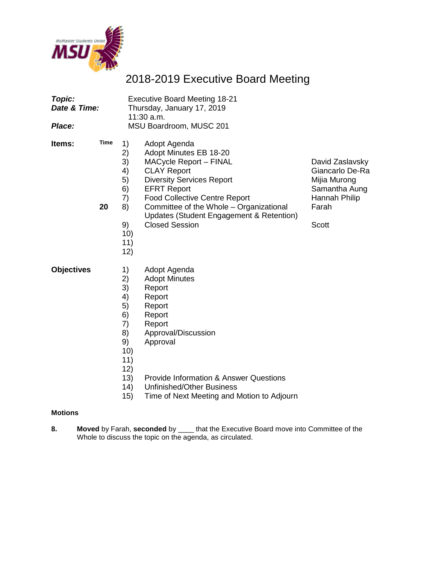

## 2018-2019 Executive Board Meeting

| <b>Topic:</b><br>Date & Time:<br>Place: |                   | <b>Executive Board Meeting 18-21</b><br>Thursday, January 17, 2019<br>$11:30$ a.m.<br>MSU Boardroom, MUSC 201 |                                                                                                                                                                                                                                                                                                          |                                                                                                               |  |
|-----------------------------------------|-------------------|---------------------------------------------------------------------------------------------------------------|----------------------------------------------------------------------------------------------------------------------------------------------------------------------------------------------------------------------------------------------------------------------------------------------------------|---------------------------------------------------------------------------------------------------------------|--|
| Items:                                  | <b>Time</b><br>20 | 1)<br>2)<br>3)<br>4)<br>5)<br>6)<br>7)<br>8)<br>9)<br>10)<br>11)<br>12)                                       | Adopt Agenda<br>Adopt Minutes EB 18-20<br>MACycle Report - FINAL<br><b>CLAY Report</b><br><b>Diversity Services Report</b><br><b>EFRT Report</b><br><b>Food Collective Centre Report</b><br>Committee of the Whole - Organizational<br>Updates (Student Engagement & Retention)<br><b>Closed Session</b> | David Zaslavsky<br>Giancarlo De-Ra<br>Mijia Murong<br>Samantha Aung<br>Hannah Philip<br>Farah<br><b>Scott</b> |  |
| <b>Objectives</b>                       |                   | 1)<br>2)<br>3)<br>4)<br>5)<br>6)<br>7)<br>8)<br>9)<br>10)<br>11)<br>12)<br>13)                                | Adopt Agenda<br><b>Adopt Minutes</b><br>Report<br>Report<br>Report<br>Report<br>Report<br>Approval/Discussion<br>Approval<br><b>Provide Information &amp; Answer Questions</b>                                                                                                                           |                                                                                                               |  |

- 14) Unfinished/Other Business<br>15) Time of Next Meeting and N
- Time of Next Meeting and Motion to Adjourn

#### **Motions**

**8. Moved** by Farah, **seconded** by \_\_\_\_ that the Executive Board move into Committee of the Whole to discuss the topic on the agenda, as circulated.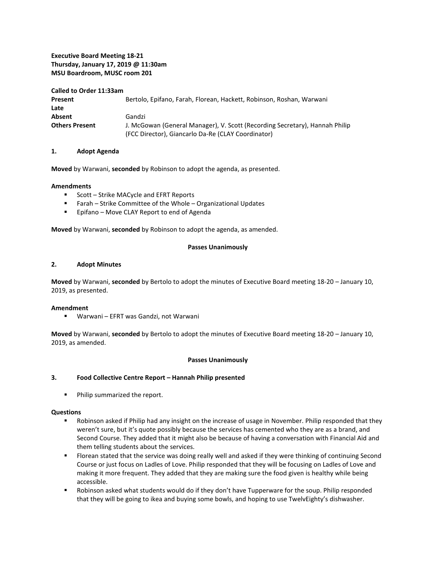#### **Executive Board Meeting 18-21 Thursday, January 17, 2019 @ 11:30am MSU Boardroom, MUSC room 201**

#### **Called to Order 11:33am**

| Present               | Bertolo, Epifano, Farah, Florean, Hackett, Robinson, Roshan, Warwani        |
|-----------------------|-----------------------------------------------------------------------------|
| Late                  |                                                                             |
| Absent                | Gandzi                                                                      |
| <b>Others Present</b> | J. McGowan (General Manager), V. Scott (Recording Secretary), Hannah Philip |
|                       | (FCC Director), Giancarlo Da-Re (CLAY Coordinator)                          |

#### **1. Adopt Agenda**

**Moved** by Warwani, **seconded** by Robinson to adopt the agenda, as presented.

#### **Amendments**

- Scott Strike MACycle and EFRT Reports
- Farah Strike Committee of the Whole Organizational Updates
- **Epifano Move CLAY Report to end of Agenda**

**Moved** by Warwani, **seconded** by Robinson to adopt the agenda, as amended.

#### **Passes Unanimously**

#### **2. Adopt Minutes**

**Moved** by Warwani, **seconded** by Bertolo to adopt the minutes of Executive Board meeting 18-20 – January 10, 2019, as presented.

#### **Amendment**

Warwani – EFRT was Gandzi, not Warwani

**Moved** by Warwani, **seconded** by Bertolo to adopt the minutes of Executive Board meeting 18-20 – January 10, 2019, as amended.

#### **Passes Unanimously**

#### **3. Food Collective Centre Report – Hannah Philip presented**

Philip summarized the report.

#### **Questions**

- Robinson asked if Philip had any insight on the increase of usage in November. Philip responded that they weren't sure, but it's quote possibly because the services has cemented who they are as a brand, and Second Course. They added that it might also be because of having a conversation with Financial Aid and them telling students about the services.
- **FIOT** Florean stated that the service was doing really well and asked if they were thinking of continuing Second Course or just focus on Ladles of Love. Philip responded that they will be focusing on Ladles of Love and making it more frequent. They added that they are making sure the food given is healthy while being accessible.
- **Robinson asked what students would do if they don't have Tupperware for the soup. Philip responded** that they will be going to ikea and buying some bowls, and hoping to use TwelvEighty's dishwasher.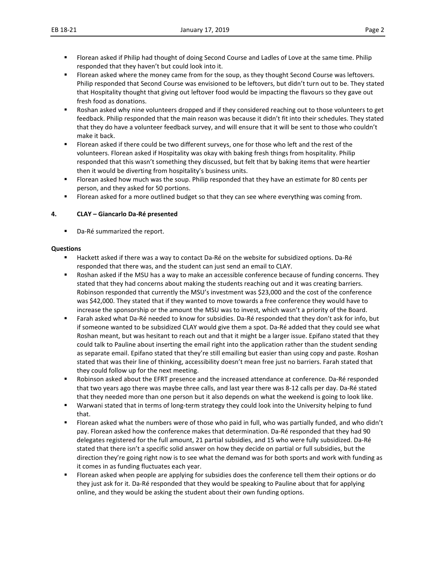- **FIOT** Florean asked if Philip had thought of doing Second Course and Ladles of Love at the same time. Philip responded that they haven't but could look into it.
- Florean asked where the money came from for the soup, as they thought Second Course was leftovers. Philip responded that Second Course was envisioned to be leftovers, but didn't turn out to be. They stated that Hospitality thought that giving out leftover food would be impacting the flavours so they gave out fresh food as donations.
- **BUD** Roshan asked why nine volunteers dropped and if they considered reaching out to those volunteers to get feedback. Philip responded that the main reason was because it didn't fit into their schedules. They stated that they do have a volunteer feedback survey, and will ensure that it will be sent to those who couldn't make it back.
- Florean asked if there could be two different surveys, one for those who left and the rest of the volunteers. Florean asked if Hospitality was okay with baking fresh things from hospitality. Philip responded that this wasn't something they discussed, but felt that by baking items that were heartier then it would be diverting from hospitality's business units.
- **FIOT** Florean asked how much was the soup. Philip responded that they have an estimate for 80 cents per person, and they asked for 50 portions.
- **FIOT** Florean asked for a more outlined budget so that they can see where everything was coming from.

#### **4. CLAY – Giancarlo Da-Ré presented**

Da-Ré summarized the report.

#### **Questions**

- Hackett asked if there was a way to contact Da-Ré on the website for subsidized options. Da-Ré responded that there was, and the student can just send an email to CLAY.
- Roshan asked if the MSU has a way to make an accessible conference because of funding concerns. They stated that they had concerns about making the students reaching out and it was creating barriers. Robinson responded that currently the MSU's investment was \$23,000 and the cost of the conference was \$42,000. They stated that if they wanted to move towards a free conference they would have to increase the sponsorship or the amount the MSU was to invest, which wasn't a priority of the Board.
- Farah asked what Da-Ré needed to know for subsidies. Da-Ré responded that they don't ask for info, but if someone wanted to be subsidized CLAY would give them a spot. Da-Ré added that they could see what Roshan meant, but was hesitant to reach out and that it might be a larger issue. Epifano stated that they could talk to Pauline about inserting the email right into the application rather than the student sending as separate email. Epifano stated that they're still emailing but easier than using copy and paste. Roshan stated that was their line of thinking, accessibility doesn't mean free just no barriers. Farah stated that they could follow up for the next meeting.
- Robinson asked about the EFRT presence and the increased attendance at conference. Da-Ré responded that two years ago there was maybe three calls, and last year there was 8-12 calls per day. Da-Ré stated that they needed more than one person but it also depends on what the weekend is going to look like.
- Warwani stated that in terms of long-term strategy they could look into the University helping to fund that.
- Florean asked what the numbers were of those who paid in full, who was partially funded, and who didn't pay. Florean asked how the conference makes that determination. Da-Ré responded that they had 90 delegates registered for the full amount, 21 partial subsidies, and 15 who were fully subsidized. Da-Ré stated that there isn't a specific solid answer on how they decide on partial or full subsidies, but the direction they're going right now is to see what the demand was for both sports and work with funding as it comes in as funding fluctuates each year.
- Florean asked when people are applying for subsidies does the conference tell them their options or do they just ask for it. Da-Ré responded that they would be speaking to Pauline about that for applying online, and they would be asking the student about their own funding options.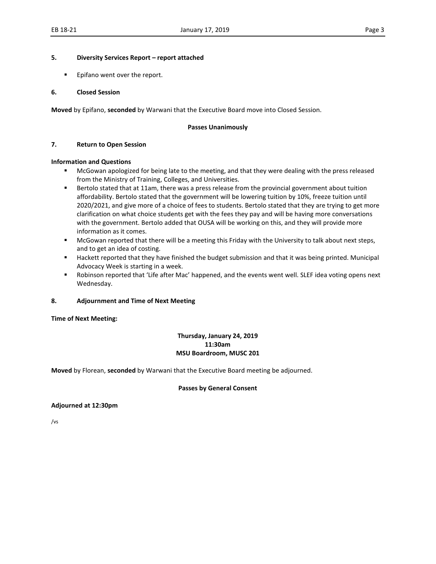#### **5. Diversity Services Report – report attached**

**Epifano went over the report.** 

#### **6. Closed Session**

**Moved** by Epifano, **seconded** by Warwani that the Executive Board move into Closed Session.

#### **Passes Unanimously**

#### **7. Return to Open Session**

#### **Information and Questions**

- McGowan apologized for being late to the meeting, and that they were dealing with the press released from the Ministry of Training, Colleges, and Universities.
- **Bertolo stated that at 11am, there was a press release from the provincial government about tuition** affordability. Bertolo stated that the government will be lowering tuition by 10%, freeze tuition until 2020/2021, and give more of a choice of fees to students. Bertolo stated that they are trying to get more clarification on what choice students get with the fees they pay and will be having more conversations with the government. Bertolo added that OUSA will be working on this, and they will provide more information as it comes.
- **McGowan reported that there will be a meeting this Friday with the University to talk about next steps,** and to get an idea of costing.
- Hackett reported that they have finished the budget submission and that it was being printed. Municipal Advocacy Week is starting in a week.
- Robinson reported that 'Life after Mac' happened, and the events went well. SLEF idea voting opens next Wednesday.

#### **8. Adjournment and Time of Next Meeting**

#### **Time of Next Meeting:**

#### **Thursday, January 24, 2019 11:30am MSU Boardroom, MUSC 201**

**Moved** by Florean, **seconded** by Warwani that the Executive Board meeting be adjourned.

#### **Passes by General Consent**

#### **Adjourned at 12:30pm**

/vs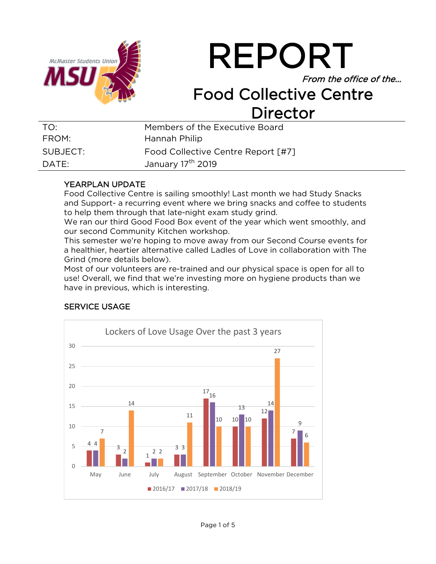

# REPORT

From the office of the…

## Food Collective Centre Director

| TO:      | Members of the Executive Board     |
|----------|------------------------------------|
| FROM:    | Hannah Philip                      |
| SUBJECT: | Food Collective Centre Report [#7] |
| DATE:    | January 17 <sup>th</sup> 2019      |

## YEARPLAN UPDATE

Food Collective Centre is sailing smoothly! Last month we had Study Snacks and Support- a recurring event where we bring snacks and coffee to students to help them through that late-night exam study grind.

We ran our third Good Food Box event of the year which went smoothly, and our second Community Kitchen workshop.

This semester we're hoping to move away from our Second Course events for a healthier, heartier alternative called Ladles of Love in collaboration with The Grind (more details below).

Most of our volunteers are re-trained and our physical space is open for all to use! Overall, we find that we're investing more on hygiene products than we have in previous, which is interesting.

## SERVICE USAGE

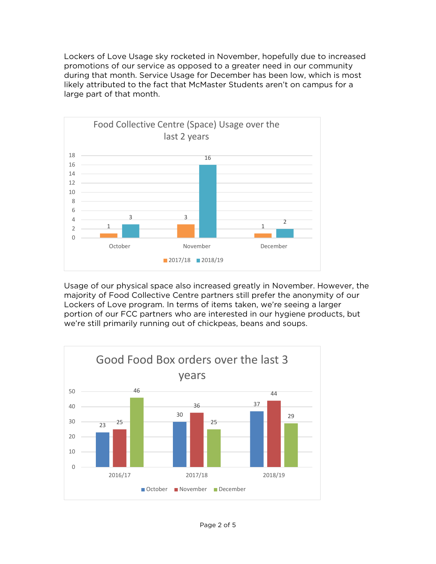Lockers of Love Usage sky rocketed in November, hopefully due to increased promotions of our service as opposed to a greater need in our community during that month. Service Usage for December has been low, which is most likely attributed to the fact that McMaster Students aren't on campus for a large part of that month.



Usage of our physical space also increased greatly in November. However, the majority of Food Collective Centre partners still prefer the anonymity of our Lockers of Love program. In terms of items taken, we're seeing a larger portion of our FCC partners who are interested in our hygiene products, but we're still primarily running out of chickpeas, beans and soups.

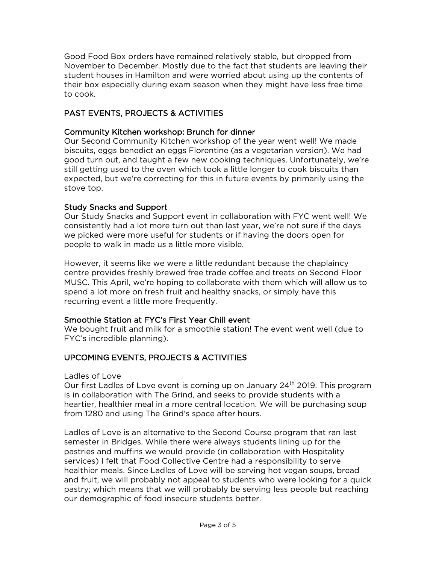Good Food Box orders have remained relatively stable, but dropped from November to December. Mostly due to the fact that students are leaving their student houses in Hamilton and were worried about using up the contents of their box especially during exam season when they might have less free time to cook.

## PAST EVENTS, PROJECTS & ACTIVITIES

## Community Kitchen workshop: Brunch for dinner

Our Second Community Kitchen workshop of the year went well! We made biscuits, eggs benedict an eggs Florentine (as a vegetarian version). We had good turn out, and taught a few new cooking techniques. Unfortunately, we're still getting used to the oven which took a little longer to cook biscuits than expected, but we're correcting for this in future events by primarily using the stove top.

## Study Snacks and Support

Our Study Snacks and Support event in collaboration with FYC went well! We consistently had a lot more turn out than last year, we're not sure if the days we picked were more useful for students or if having the doors open for people to walk in made us a little more visible.

However, it seems like we were a little redundant because the chaplaincy centre provides freshly brewed free trade coffee and treats on Second Floor MUSC. This April, we're hoping to collaborate with them which will allow us to spend a lot more on fresh fruit and healthy snacks, or simply have this recurring event a little more frequently.

## Smoothie Station at FYC's First Year Chill event

We bought fruit and milk for a smoothie station! The event went well (due to FYC's incredible planning).

## UPCOMING EVENTS, PROJECTS & ACTIVITIES

## Ladles of Love

Our first Ladles of Love event is coming up on January  $24<sup>th</sup>$  2019. This program is in collaboration with The Grind, and seeks to provide students with a heartier, healthier meal in a more central location. We will be purchasing soup from 1280 and using The Grind's space after hours.

Ladles of Love is an alternative to the Second Course program that ran last semester in Bridges. While there were always students lining up for the pastries and muffins we would provide (in collaboration with Hospitality services) I felt that Food Collective Centre had a responsibility to serve healthier meals. Since Ladles of Love will be serving hot vegan soups, bread and fruit, we will probably not appeal to students who were looking for a quick pastry; which means that we will probably be serving less people but reaching our demographic of food insecure students better.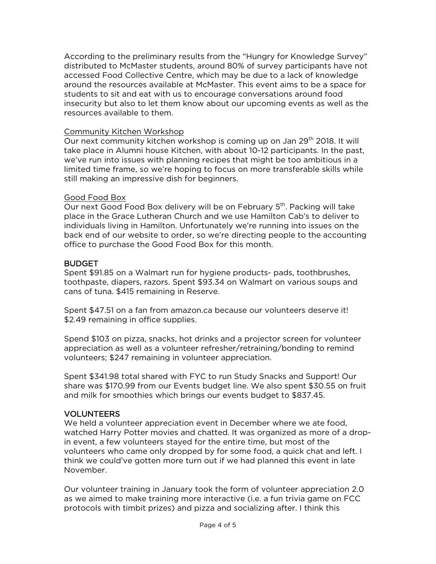According to the preliminary results from the "Hungry for Knowledge Survey" distributed to McMaster students, around 80% of survey participants have not accessed Food Collective Centre, which may be due to a lack of knowledge around the resources available at McMaster. This event aims to be a space for students to sit and eat with us to encourage conversations around food insecurity but also to let them know about our upcoming events as well as the resources available to them.

#### Community Kitchen Workshop

Our next community kitchen workshop is coming up on Jan 29<sup>th</sup> 2018. It will take place in Alumni house Kitchen, with about 10-12 participants. In the past, we've run into issues with planning recipes that might be too ambitious in a limited time frame, so we're hoping to focus on more transferable skills while still making an impressive dish for beginners.

#### Good Food Box

Our next Good Food Box delivery will be on February 5<sup>th</sup>. Packing will take place in the Grace Lutheran Church and we use Hamilton Cab's to deliver to individuals living in Hamilton. Unfortunately we're running into issues on the back end of our website to order, so we're directing people to the accounting office to purchase the Good Food Box for this month.

#### **BUDGET**

Spent \$91.85 on a Walmart run for hygiene products- pads, toothbrushes, toothpaste, diapers, razors. Spent \$93.34 on Walmart on various soups and cans of tuna. \$415 remaining in Reserve.

Spent \$47.51 on a fan from amazon.ca because our volunteers deserve it! \$2.49 remaining in office supplies.

Spend \$103 on pizza, snacks, hot drinks and a projector screen for volunteer appreciation as well as a volunteer refresher/retraining/bonding to remind volunteers; \$247 remaining in volunteer appreciation.

Spent \$341.98 total shared with FYC to run Study Snacks and Support! Our share was \$170.99 from our Events budget line. We also spent \$30.55 on fruit and milk for smoothies which brings our events budget to \$837.45.

## VOLUNTEERS

We held a volunteer appreciation event in December where we ate food, watched Harry Potter movies and chatted. It was organized as more of a dropin event, a few volunteers stayed for the entire time, but most of the volunteers who came only dropped by for some food, a quick chat and left. I think we could've gotten more turn out if we had planned this event in late November.

Our volunteer training in January took the form of volunteer appreciation 2.0 as we aimed to make training more interactive (i.e. a fun trivia game on FCC protocols with timbit prizes) and pizza and socializing after. I think this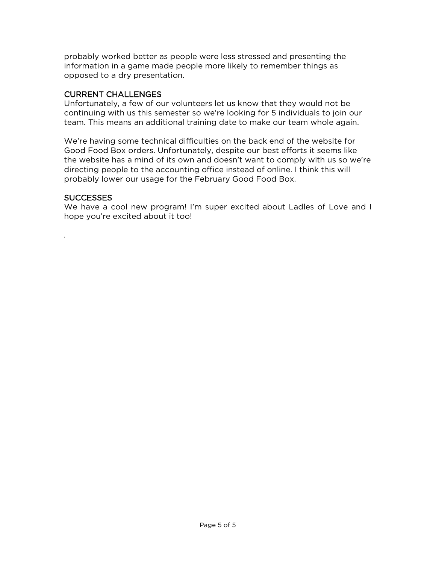probably worked better as people were less stressed and presenting the information in a game made people more likely to remember things as opposed to a dry presentation.

#### CURRENT CHALLENGES

Unfortunately, a few of our volunteers let us know that they would not be continuing with us this semester so we're looking for 5 individuals to join our team. This means an additional training date to make our team whole again.

We're having some technical difficulties on the back end of the website for Good Food Box orders. Unfortunately, despite our best efforts it seems like the website has a mind of its own and doesn't want to comply with us so we're directing people to the accounting office instead of online. I think this will probably lower our usage for the February Good Food Box.

#### SUCCESSES

*.*

We have a cool new program! I'm super excited about Ladles of Love and I hope you're excited about it too!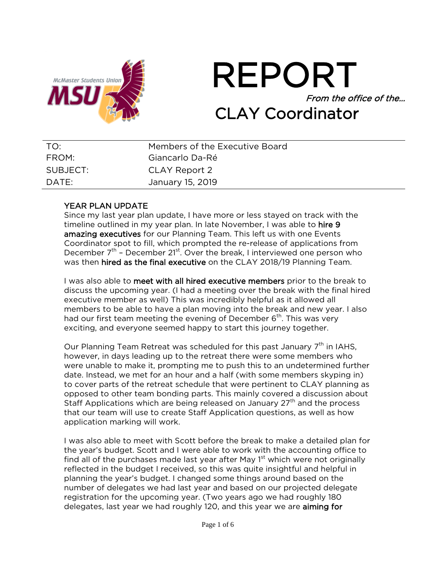

# REPORT From the office of the… CLAY Coordinator

| TO:      | Members of the Executive Board |
|----------|--------------------------------|
| FROM:    | Giancarlo Da-Ré                |
| SUBJECT: | CLAY Report 2                  |
| DATE:    | January 15, 2019               |

## YEAR PLAN UPDATE

Since my last year plan update, I have more or less stayed on track with the timeline outlined in my year plan. In late November, I was able to hire 9 amazing executives for our Planning Team. This left us with one Events Coordinator spot to fill, which prompted the re-release of applications from December  $7<sup>th</sup>$  – December 21<sup>st</sup>. Over the break, I interviewed one person who was then hired as the final executive on the CLAY 2018/19 Planning Team.

I was also able to meet with all hired executive members prior to the break to discuss the upcoming year. (I had a meeting over the break with the final hired executive member as well) This was incredibly helpful as it allowed all members to be able to have a plan moving into the break and new year. I also had our first team meeting the evening of December  $6<sup>th</sup>$ . This was very exciting, and everyone seemed happy to start this journey together.

Our Planning Team Retreat was scheduled for this past January  $7<sup>th</sup>$  in IAHS, however, in days leading up to the retreat there were some members who were unable to make it, prompting me to push this to an undetermined further date. Instead, we met for an hour and a half (with some members skyping in) to cover parts of the retreat schedule that were pertinent to CLAY planning as opposed to other team bonding parts. This mainly covered a discussion about Staff Applications which are being released on January  $27<sup>th</sup>$  and the process that our team will use to create Staff Application questions, as well as how application marking will work.

I was also able to meet with Scott before the break to make a detailed plan for the year's budget. Scott and I were able to work with the accounting office to find all of the purchases made last year after May  $1<sup>st</sup>$  which were not originally reflected in the budget I received, so this was quite insightful and helpful in planning the year's budget. I changed some things around based on the number of delegates we had last year and based on our projected delegate registration for the upcoming year. (Two years ago we had roughly 180 delegates, last year we had roughly 120, and this year we are aiming for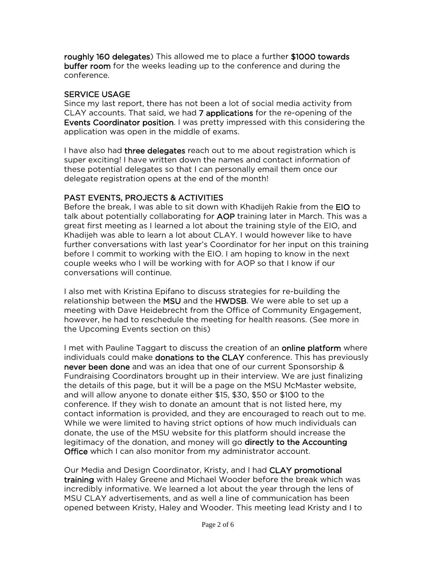roughly 160 delegates) This allowed me to place a further \$1000 towards buffer room for the weeks leading up to the conference and during the conference.

#### SERVICE USAGE

Since my last report, there has not been a lot of social media activity from CLAY accounts. That said, we had 7 applications for the re-opening of the Events Coordinator position. I was pretty impressed with this considering the application was open in the middle of exams.

I have also had three delegates reach out to me about registration which is super exciting! I have written down the names and contact information of these potential delegates so that I can personally email them once our delegate registration opens at the end of the month!

## PAST EVENTS, PROJECTS & ACTIVITIES

Before the break, I was able to sit down with Khadijeh Rakie from the EIO to talk about potentially collaborating for AOP training later in March. This was a great first meeting as I learned a lot about the training style of the EIO, and Khadijeh was able to learn a lot about CLAY. I would however like to have further conversations with last year's Coordinator for her input on this training before I commit to working with the EIO. I am hoping to know in the next couple weeks who I will be working with for AOP so that I know if our conversations will continue.

I also met with Kristina Epifano to discuss strategies for re-building the relationship between the MSU and the HWDSB. We were able to set up a meeting with Dave Heidebrecht from the Office of Community Engagement, however, he had to reschedule the meeting for health reasons. (See more in the Upcoming Events section on this)

I met with Pauline Taggart to discuss the creation of an online platform where individuals could make donations to the CLAY conference. This has previously never been done and was an idea that one of our current Sponsorship & Fundraising Coordinators brought up in their interview. We are just finalizing the details of this page, but it will be a page on the MSU McMaster website, and will allow anyone to donate either \$15, \$30, \$50 or \$100 to the conference. If they wish to donate an amount that is not listed here, my contact information is provided, and they are encouraged to reach out to me. While we were limited to having strict options of how much individuals can donate, the use of the MSU website for this platform should increase the legitimacy of the donation, and money will go directly to the Accounting **Office** which I can also monitor from my administrator account.

Our Media and Design Coordinator, Kristy, and I had CLAY promotional training with Haley Greene and Michael Wooder before the break which was incredibly informative. We learned a lot about the year through the lens of MSU CLAY advertisements, and as well a line of communication has been opened between Kristy, Haley and Wooder. This meeting lead Kristy and I to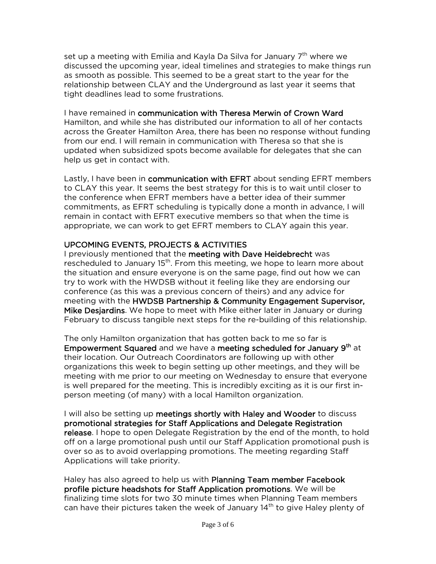set up a meeting with Emilia and Kayla Da Silva for January  $7<sup>th</sup>$  where we discussed the upcoming year, ideal timelines and strategies to make things run as smooth as possible. This seemed to be a great start to the year for the relationship between CLAY and the Underground as last year it seems that tight deadlines lead to some frustrations.

I have remained in communication with Theresa Merwin of Crown Ward Hamilton, and while she has distributed our information to all of her contacts across the Greater Hamilton Area, there has been no response without funding from our end. I will remain in communication with Theresa so that she is updated when subsidized spots become available for delegates that she can help us get in contact with.

Lastly, I have been in **communication with EFRT** about sending EFRT members to CLAY this year. It seems the best strategy for this is to wait until closer to the conference when EFRT members have a better idea of their summer commitments, as EFRT scheduling is typically done a month in advance, I will remain in contact with EFRT executive members so that when the time is appropriate, we can work to get EFRT members to CLAY again this year.

## UPCOMING EVENTS, PROJECTS & ACTIVITIES

I previously mentioned that the meeting with Dave Heidebrecht was rescheduled to January  $15<sup>th</sup>$ . From this meeting, we hope to learn more about the situation and ensure everyone is on the same page, find out how we can try to work with the HWDSB without it feeling like they are endorsing our conference (as this was a previous concern of theirs) and any advice for meeting with the HWDSB Partnership & Community Engagement Supervisor, Mike Desjardins. We hope to meet with Mike either later in January or during February to discuss tangible next steps for the re-building of this relationship.

The only Hamilton organization that has gotten back to me so far is Empowerment Squared and we have a meeting scheduled for January 9<sup>th</sup> at their location. Our Outreach Coordinators are following up with other organizations this week to begin setting up other meetings, and they will be meeting with me prior to our meeting on Wednesday to ensure that everyone is well prepared for the meeting. This is incredibly exciting as it is our first inperson meeting (of many) with a local Hamilton organization.

I will also be setting up meetings shortly with Haley and Wooder to discuss promotional strategies for Staff Applications and Delegate Registration release. I hope to open Delegate Registration by the end of the month, to hold off on a large promotional push until our Staff Application promotional push is over so as to avoid overlapping promotions. The meeting regarding Staff Applications will take priority.

Haley has also agreed to help us with Planning Team member Facebook profile picture headshots for Staff Application promotions. We will be finalizing time slots for two 30 minute times when Planning Team members can have their pictures taken the week of January  $14<sup>th</sup>$  to give Haley plenty of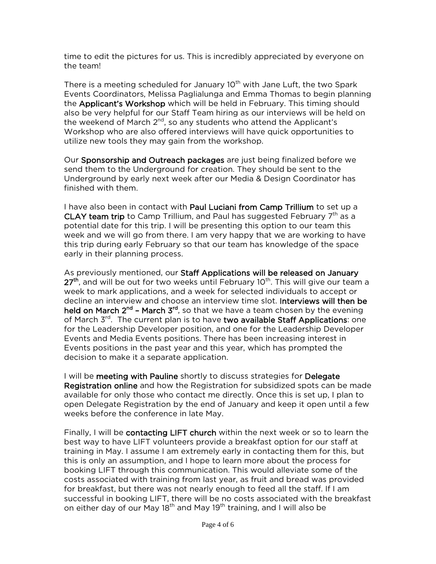time to edit the pictures for us. This is incredibly appreciated by everyone on the team!

There is a meeting scheduled for January 10<sup>th</sup> with Jane Luft, the two Spark Events Coordinators, Melissa Paglialunga and Emma Thomas to begin planning the Applicant's Workshop which will be held in February. This timing should also be very helpful for our Staff Team hiring as our interviews will be held on the weekend of March  $2^{nd}$ , so any students who attend the Applicant's Workshop who are also offered interviews will have quick opportunities to utilize new tools they may gain from the workshop.

Our Sponsorship and Outreach packages are just being finalized before we send them to the Underground for creation. They should be sent to the Underground by early next week after our Media & Design Coordinator has finished with them.

I have also been in contact with Paul Luciani from Camp Trillium to set up a CLAY team trip to Camp Trillium, and Paul has suggested February  $7<sup>th</sup>$  as a potential date for this trip. I will be presenting this option to our team this week and we will go from there. I am very happy that we are working to have this trip during early February so that our team has knowledge of the space early in their planning process.

As previously mentioned, our Staff Applications will be released on January  $27<sup>th</sup>$ , and will be out for two weeks until February 10<sup>th</sup>. This will give our team a week to mark applications, and a week for selected individuals to accept or decline an interview and choose an interview time slot. Interviews will then be held on March  $2^{nd}$  – March  $3^{rd}$ , so that we have a team chosen by the evening of March 3<sup>rd</sup>. The current plan is to have two available Staff Applications: one for the Leadership Developer position, and one for the Leadership Developer Events and Media Events positions. There has been increasing interest in Events positions in the past year and this year, which has prompted the decision to make it a separate application.

I will be meeting with Pauline shortly to discuss strategies for Delegate Registration online and how the Registration for subsidized spots can be made available for only those who contact me directly. Once this is set up, I plan to open Delegate Registration by the end of January and keep it open until a few weeks before the conference in late May.

Finally, I will be contacting LIFT church within the next week or so to learn the best way to have LIFT volunteers provide a breakfast option for our staff at training in May. I assume I am extremely early in contacting them for this, but this is only an assumption, and I hope to learn more about the process for booking LIFT through this communication. This would alleviate some of the costs associated with training from last year, as fruit and bread was provided for breakfast, but there was not nearly enough to feed all the staff. If I am successful in booking LIFT, there will be no costs associated with the breakfast on either day of our May 18<sup>th</sup> and May 19<sup>th</sup> training, and I will also be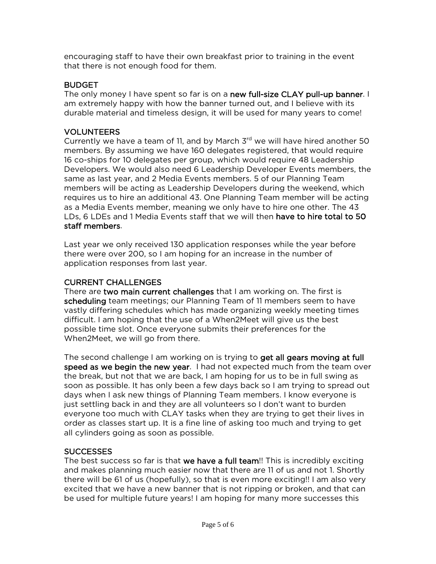encouraging staff to have their own breakfast prior to training in the event that there is not enough food for them.

## **BUDGET**

The only money I have spent so far is on a new full-size CLAY pull-up banner. I am extremely happy with how the banner turned out, and I believe with its durable material and timeless design, it will be used for many years to come!

## VOLUNTEERS

Currently we have a team of 11, and by March  $3<sup>rd</sup>$  we will have hired another 50 members. By assuming we have 160 delegates registered, that would require 16 co-ships for 10 delegates per group, which would require 48 Leadership Developers. We would also need 6 Leadership Developer Events members, the same as last year, and 2 Media Events members. 5 of our Planning Team members will be acting as Leadership Developers during the weekend, which requires us to hire an additional 43. One Planning Team member will be acting as a Media Events member, meaning we only have to hire one other. The 43 LDs, 6 LDEs and 1 Media Events staff that we will then have to hire total to 50 staff members.

Last year we only received 130 application responses while the year before there were over 200, so I am hoping for an increase in the number of application responses from last year.

## CURRENT CHALLENGES

There are two main current challenges that I am working on. The first is scheduling team meetings; our Planning Team of 11 members seem to have vastly differing schedules which has made organizing weekly meeting times difficult. I am hoping that the use of a When2Meet will give us the best possible time slot. Once everyone submits their preferences for the When2Meet, we will go from there.

The second challenge I am working on is trying to get all gears moving at full speed as we begin the new year. I had not expected much from the team over the break, but not that we are back, I am hoping for us to be in full swing as soon as possible. It has only been a few days back so I am trying to spread out days when I ask new things of Planning Team members. I know everyone is just settling back in and they are all volunteers so I don't want to burden everyone too much with CLAY tasks when they are trying to get their lives in order as classes start up. It is a fine line of asking too much and trying to get all cylinders going as soon as possible.

## **SUCCESSES**

The best success so far is that we have a full team!! This is incredibly exciting and makes planning much easier now that there are 11 of us and not 1. Shortly there will be 61 of us (hopefully), so that is even more exciting!! I am also very excited that we have a new banner that is not ripping or broken, and that can be used for multiple future years! I am hoping for many more successes this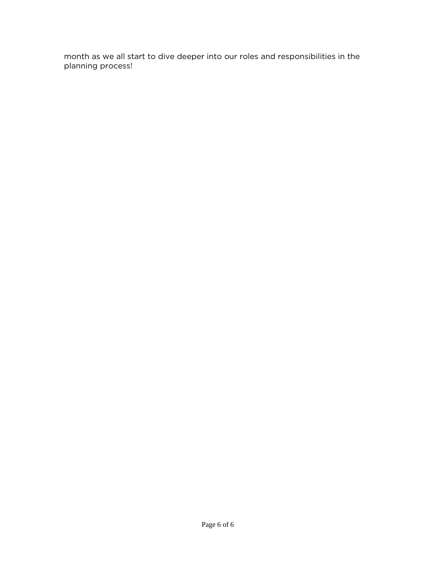month as we all start to dive deeper into our roles and responsibilities in the planning process!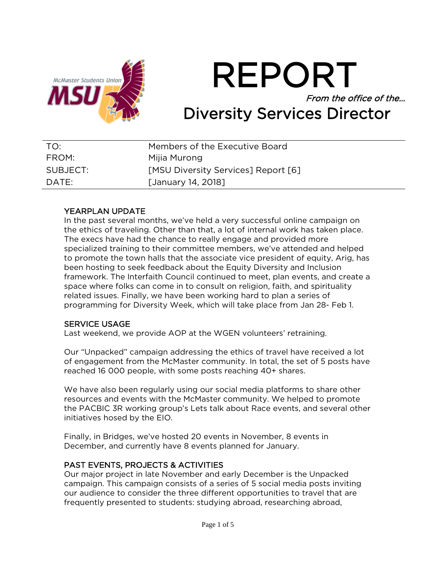

REPORT From the office of the… Diversity Services Director

| TO:      | Members of the Executive Board             |
|----------|--------------------------------------------|
| FROM:    | Mijia Murong                               |
| SUBJECT: | <b>[MSU Diversity Services] Report [6]</b> |
| DATE:    | [January 14, 2018]                         |

## YEARPLAN UPDATE

In the past several months, we've held a very successful online campaign on the ethics of traveling. Other than that, a lot of internal work has taken place. The execs have had the chance to really engage and provided more specialized training to their committee members, we've attended and helped to promote the town halls that the associate vice president of equity, Arig, has been hosting to seek feedback about the Equity Diversity and Inclusion framework. The Interfaith Council continued to meet, plan events, and create a space where folks can come in to consult on religion, faith, and spirituality related issues. Finally, we have been working hard to plan a series of programming for Diversity Week, which will take place from Jan 28- Feb 1.

#### SERVICE USAGE

Last weekend, we provide AOP at the WGEN volunteers' retraining.

Our "Unpacked" campaign addressing the ethics of travel have received a lot of engagement from the McMaster community. In total, the set of 5 posts have reached 16 000 people, with some posts reaching 40+ shares.

We have also been regularly using our social media platforms to share other resources and events with the McMaster community. We helped to promote the PACBIC 3R working group's Lets talk about Race events, and several other initiatives hosed by the EIO.

Finally, in Bridges, we've hosted 20 events in November, 8 events in December, and currently have 8 events planned for January.

## PAST EVENTS, PROJECTS & ACTIVITIES

Our major project in late November and early December is the Unpacked campaign. This campaign consists of a series of 5 social media posts inviting our audience to consider the three different opportunities to travel that are frequently presented to students: studying abroad, researching abroad,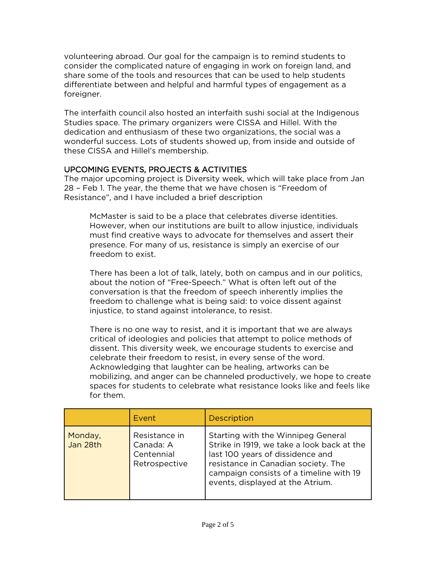volunteering abroad. Our goal for the campaign is to remind students to consider the complicated nature of engaging in work on foreign land, and share some of the tools and resources that can be used to help students differentiate between and helpful and harmful types of engagement as a foreigner.

The interfaith council also hosted an interfaith sushi social at the Indigenous Studies space. The primary organizers were CISSA and Hillel. With the dedication and enthusiasm of these two organizations, the social was a wonderful success. Lots of students showed up, from inside and outside of these CISSA and Hillel's membership.

## UPCOMING EVENTS, PROJECTS & ACTIVITIES

The major upcoming project is Diversity week, which will take place from Jan 28 – Feb 1. The year, the theme that we have chosen is "Freedom of Resistance", and I have included a brief description

McMaster is said to be a place that celebrates diverse identities. However, when our institutions are built to allow injustice, individuals must find creative ways to advocate for themselves and assert their presence. For many of us, resistance is simply an exercise of our freedom to exist.

There has been a lot of talk, lately, both on campus and in our politics, about the notion of "Free-Speech." What is often left out of the conversation is that the freedom of speech inherently implies the freedom to challenge what is being said: to voice dissent against injustice, to stand against intolerance, to resist.

There is no one way to resist, and it is important that we are always critical of ideologies and policies that attempt to police methods of dissent. This diversity week, we encourage students to exercise and celebrate their freedom to resist, in every sense of the word. Acknowledging that laughter can be healing, artworks can be mobilizing, and anger can be channeled productively, we hope to create spaces for students to celebrate what resistance looks like and feels like for them.

|                     | Event                                                     | <b>Description</b>                                                                                                                                                                                                                         |
|---------------------|-----------------------------------------------------------|--------------------------------------------------------------------------------------------------------------------------------------------------------------------------------------------------------------------------------------------|
| Monday,<br>Jan 28th | Resistance in<br>Canada: A<br>Centennial<br>Retrospective | Starting with the Winnipeg General<br>Strike in 1919, we take a look back at the<br>last 100 years of dissidence and<br>resistance in Canadian society. The<br>campaign consists of a timeline with 19<br>events, displayed at the Atrium. |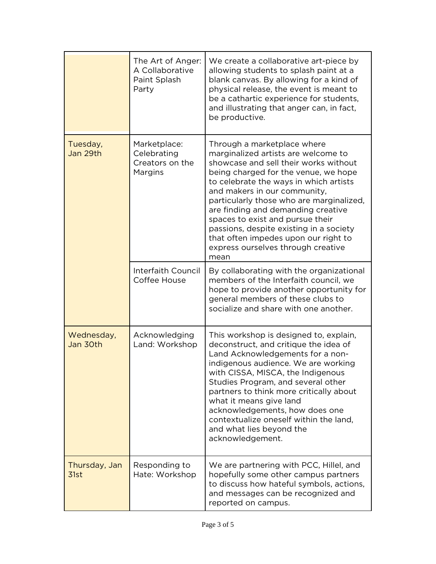|                        | The Art of Anger:<br>A Collaborative<br>Paint Splash<br>Party | We create a collaborative art-piece by<br>allowing students to splash paint at a<br>blank canvas. By allowing for a kind of<br>physical release, the event is meant to<br>be a cathartic experience for students,<br>and illustrating that anger can, in fact,<br>be productive.                                                                                                                                                                                                     |
|------------------------|---------------------------------------------------------------|--------------------------------------------------------------------------------------------------------------------------------------------------------------------------------------------------------------------------------------------------------------------------------------------------------------------------------------------------------------------------------------------------------------------------------------------------------------------------------------|
| Tuesday,<br>Jan 29th   | Marketplace:<br>Celebrating<br>Creators on the<br>Margins     | Through a marketplace where<br>marginalized artists are welcome to<br>showcase and sell their works without<br>being charged for the venue, we hope<br>to celebrate the ways in which artists<br>and makers in our community,<br>particularly those who are marginalized,<br>are finding and demanding creative<br>spaces to exist and pursue their<br>passions, despite existing in a society<br>that often impedes upon our right to<br>express ourselves through creative<br>mean |
|                        | Interfaith Council<br>Coffee House                            | By collaborating with the organizational<br>members of the Interfaith council, we<br>hope to provide another opportunity for<br>general members of these clubs to<br>socialize and share with one another.                                                                                                                                                                                                                                                                           |
| Wednesday,<br>Jan 30th | Acknowledging<br>Land: Workshop                               | This workshop is designed to, explain,<br>deconstruct, and critique the idea of<br>Land Acknowledgements for a non-<br>indigenous audience. We are working<br>with CISSA, MISCA, the Indigenous<br>Studies Program, and several other<br>partners to think more critically about<br>what it means give land<br>acknowledgements, how does one<br>contextualize oneself within the land,<br>and what lies beyond the<br>acknowledgement.                                              |
| Thursday, Jan<br>31st  | Responding to<br>Hate: Workshop                               | We are partnering with PCC, Hillel, and<br>hopefully some other campus partners<br>to discuss how hateful symbols, actions,<br>and messages can be recognized and<br>reported on campus.                                                                                                                                                                                                                                                                                             |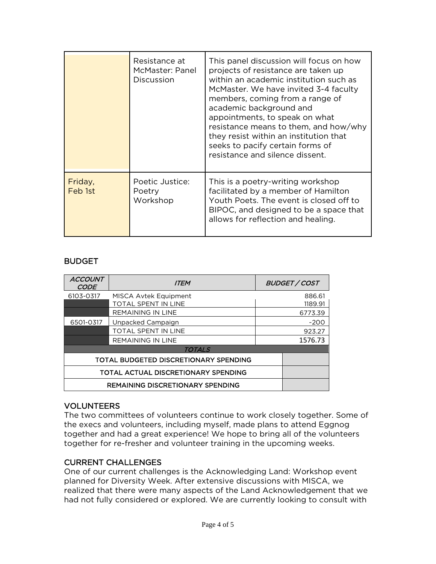|                    | Resistance at<br>McMaster: Panel<br><b>Discussion</b> | This panel discussion will focus on how<br>projects of resistance are taken up<br>within an academic institution such as<br>McMaster. We have invited 3-4 faculty<br>members, coming from a range of<br>academic background and<br>appointments, to speak on what<br>resistance means to them, and how/why<br>they resist within an institution that<br>seeks to pacify certain forms of<br>resistance and silence dissent. |
|--------------------|-------------------------------------------------------|-----------------------------------------------------------------------------------------------------------------------------------------------------------------------------------------------------------------------------------------------------------------------------------------------------------------------------------------------------------------------------------------------------------------------------|
| Friday,<br>Feb 1st | Poetic Justice:<br>Poetry<br>Workshop                 | This is a poetry-writing workshop<br>facilitated by a member of Hamilton<br>Youth Poets. The event is closed off to<br>BIPOC, and designed to be a space that<br>allows for reflection and healing.                                                                                                                                                                                                                         |

## BUDGET

| <b>ACCOUNT</b><br><b>CODE</b>           | <b>ITEM</b>              |         | <b>BUDGET / COST</b> |  |  |
|-----------------------------------------|--------------------------|---------|----------------------|--|--|
| 6103-0317                               | MISCA Avtek Equipment    | 886.61  |                      |  |  |
|                                         | TOTAL SPENT IN LINE      | 1189.91 |                      |  |  |
|                                         | <b>REMAINING IN LINE</b> |         | 6773.39              |  |  |
| 6501-0317                               | Unpacked Campaign        |         | $-200$               |  |  |
|                                         | TOTAL SPENT IN LINE      |         | 923.27               |  |  |
|                                         | <b>REMAINING IN LINE</b> |         | 1576.73              |  |  |
| <b>TOTALS</b>                           |                          |         |                      |  |  |
| TOTAL BUDGETED DISCRETIONARY SPENDING   |                          |         |                      |  |  |
| TOTAL ACTUAL DISCRETIONARY SPENDING     |                          |         |                      |  |  |
| <b>REMAINING DISCRETIONARY SPENDING</b> |                          |         |                      |  |  |

## VOLUNTEERS

The two committees of volunteers continue to work closely together. Some of the execs and volunteers, including myself, made plans to attend Eggnog together and had a great experience! We hope to bring all of the volunteers together for re-fresher and volunteer training in the upcoming weeks.

## CURRENT CHALLENGES

One of our current challenges is the Acknowledging Land: Workshop event planned for Diversity Week. After extensive discussions with MISCA, we realized that there were many aspects of the Land Acknowledgement that we had not fully considered or explored. We are currently looking to consult with